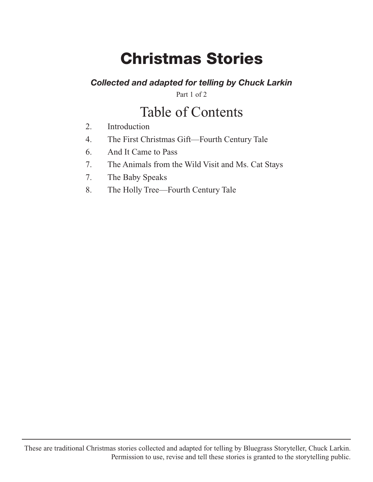# **Christmas Stories**

#### *Collected and adapted for telling by Chuck Larkin*

Part 1 of 2

# Table of Contents

- 2. Introduction
- 4. The First Christmas Gift—Fourth Century Tale
- 6. And It Came to Pass
- 7. The Animals from the Wild Visit and Ms. Cat Stays
- 7. The Baby Speaks
- 8. The Holly Tree—Fourth Century Tale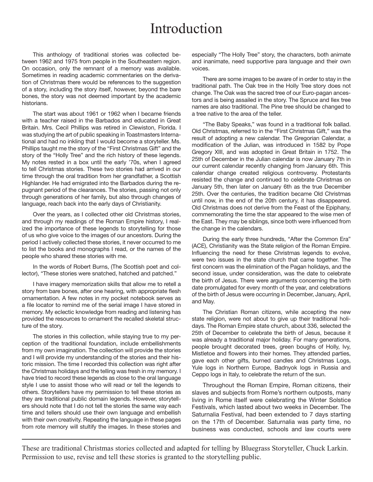### Introduction

This anthology of traditional stories was collected between 1962 and 1975 from people in the Southeastern region. On occasion, only the remnant of a memory was available. Sometimes in reading academic commentaries on the derivation of Christmas there would be references to the suggestion of a story, including the story itself, however, beyond the bare bones, the story was not deemed important by the academic historians.

The start was about 1961 or 1962 when I became friends with a teacher raised in the Barbados and educated in Great Britain. Mrs. Cecil Phillips was retired in Clewiston, Florida. I was studying the art of public speaking in Toastmasters International and had no inkling that I would become a storyteller. Ms. Phillips taught me the story of the "First Christmas Gift" and the story of the "Holly Tree" and the rich history of these legends. My notes rested in a box until the early '70s, when I agreed to tell Christmas stories. These two stories had arrived in our time through the oral tradition from her grandfather, a Scottish Highlander. He had emigrated into the Barbados during the repugnant period of the clearances. The stories, passing not only through generations of her family, but also through changes of language, reach back into the early days of Christianity.

Over the years, as I collected other old Christmas stories, and through my readings of the Roman Empire history, I realized the importance of these legends to storytelling for those of us who give voice to the images of our ancestors. During the period I actively collected these stories, it never occurred to me to list the books and monographs I read, or the names of the people who shared these stories with me.

In the words of Robert Burns, (The Scottish poet and collector), "These stories were snatched, hatched and patched."

I have imagery memorization skills that allow me to retell a story from bare bones, after one hearing, with appropriate flesh ornamentation. A few notes in my pocket notebook serves as a file locator to remind me of the serial image I have stored in memory. My eclectic knowledge from reading and listening has provided the resources to ornament the recalled skeletal structure of the story.

The stories in this collection, while staying true to my perception of the traditional foundation, include embellishments from my own imagination. The collection will provide the stories and I will provide my understanding of the stories and their historic mission. The time I recorded this collection was right after the Christmas holidays and the telling was fresh in my memory. I have tried to record these legends as close to the oral language style I use to assist those who will read or tell the legends to others. Storytellers have my permission to tell these stories as they are traditional public domain legends. However, storytellers should note that I do not tell the stories the same way each time and tellers should use their own language and embellish with their own creativity. Repeating the language in these pages from rote memory will stultify the images. In these stories and

especially "The Holly Tree" story, the characters, both animate and inanimate, need supportive para language and their own voices.

There are some images to be aware of in order to stay in the traditional path. The Oak tree in the Holly Tree story does not change. The Oak was the sacred tree of our Euro-pagan ancestors and is being assailed in the story. The Spruce and Ilex tree names are also traditional. The Pine tree should be changed to a tree native to the area of the teller.

"The Baby Speaks," was found in a traditional folk ballad. Old Christmas, referred to in the "First Christmas Gift," was the result of adopting a new calendar. The Gregorian Calendar, a modification of the Julian, was introduced in 1582 by Pope Gregory XIII, and was adopted in Great Britain in 1752. The 25th of December in the Julian calendar is now January 7th in our current calendar recently changing from January 6th. This calendar change created religious controversy. Protestants resisted the change and continued to celebrate Christmas on January 5th, then later on January 6th as the true December 25th. Over the centuries, the tradition became Old Christmas until now, in the end of the 20th century, it has disappeared. Old Christmas does not derive from the Feast of the Epiphany, commemorating the time the star appeared to the wise men of the East. They may be siblings, since both were influenced from the change in the calendars.

During the early three hundreds, "After the Common Era" (ACE), Christianity was the State religion of the Roman Empire. Influencing the need for these Christmas legends to evolve, were two issues in the state church that came together. The first concern was the elimination of the Pagan holidays, and the second issue, under consideration, was the date to celebrate the birth of Jesus. There were arguments concerning the birth date promulgated for every month of the year, and celebrations of the birth of Jesus were occurring in December, January, April, and May.

The Christian Roman citizens, while accepting the new state religion, were not about to give up their traditional holidays. The Roman Empire state church, about 336, selected the 25th of December to celebrate the birth of Jesus, because it was already a traditional major holiday. For many generations, people brought decorated trees, green boughs of Holly, Ivy, Mistletoe and flowers into their homes. They attended parties, gave each other gifts, burned candles and Christmas Logs, Yule logs in Northern Europe, Badnyok logs in Russia and Ceppo logs in Italy, to celebrate the return of the sun.

Throughout the Roman Empire, Roman citizens, their slaves and subjects from Rome's northern outposts, many living in Rome itself were celebrating the Winter Solstice Festivals, which lasted about two weeks in December. The Saturnalia Festival, had been extended to 7 days starting on the 17th of December. Saturnalia was party time, no business was conducted, schools and law courts were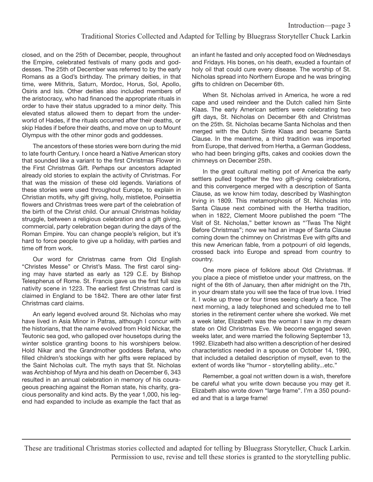closed, and on the 25th of December, people, throughout the Empire, celebrated festivals of many gods and goddesses. The 25th of December was referred to by the early Romans as a God's birthday. The primary deities, in that time, were Mithris, Saturn, Mordoc, Horus, Sol, Apollo, Osiris and Isis. Other deities also included members of the aristocracy, who had financed the appropriate rituals in order to have their status upgraded to a minor deity. This elevated status allowed them to depart from the underworld of Hades, if the rituals occurred after their deaths, or skip Hades if before their deaths, and move on up to Mount Olympus with the other minor gods and goddesses.

The ancestors of these stories were born during the mid to late fourth Century. I once heard a Native American story that sounded like a variant to the first Christmas Flower in the First Christmas Gift. Perhaps our ancestors adapted already old stories to explain the activity of Christmas. For that was the mission of these old legends. Variations of these stories were used throughout Europe, to explain in Christian motifs, why gift giving, holly, mistletoe, Poinsettia flowers and Christmas trees were part of the celebration of the birth of the Christ child. Our annual Christmas holiday struggle, between a religious celebration and a gift giving, commercial, party celebration began during the days of the Roman Empire. You can change people's religion, but it's hard to force people to give up a holiday, with parties and time off from work.

Our word for Christmas came from Old English "Christes Messe" or Christ's Mass. The first carol singing may have started as early as 129 C.E. by Bishop Telespherus of Rome. St. Francis gave us the first full size nativity scene in 1223. The earliest first Christmas card is claimed in England to be 1842. There are other later first Christmas card claims.

An early legend evolved around St. Nicholas who may have lived in Asia Minor in Patras, although I concur with the historians, that the name evolved from Hold Nickar, the Teutonic sea god, who galloped over housetops during the winter solstice granting boons to his worshipers below. Hold Nikar and the Grandmother goddess Befana, who filled children's stockings with her gifts were replaced by the Saint Nicholas cult. The myth says that St. Nicholas was Archbishop of Myra and his death on December 6, 343 resulted in an annual celebration in memory of his courageous preaching against the Roman state, his charity, gracious personality and kind acts. By the year 1,000, his legend had expanded to include as example the fact that as

an infant he fasted and only accepted food on Wednesdays and Fridays. His bones, on his death, exuded a fountain of holy oil that could cure every disease. The worship of St. Nicholas spread into Northern Europe and he was bringing gifts to children on December 6th.

When St. Nicholas arrived in America, he wore a red cape and used reindeer and the Dutch called him Sinte Klaas. The early American settlers were celebrating two gift days, St. Nicholas on December 6th and Christmas on the 25th. St. Nicholas became Santa Nicholas and then merged with the Dutch Sinte Klaas and became Santa Clause. In the meantime, a third tradition was imported from Europe, that derived from Hertha, a German Goddess, who had been bringing gifts, cakes and cookies down the chimneys on December 25th.

In the great cultural melting pot of America the early settlers pulled together the two gift-giving celebrations, and this convergence merged with a description of Santa Clause, as we know him today, described by Washington Irving in 1809. This metamorphosis of St. Nicholas into Santa Clause next combined with the Hertha tradition, when in 1822, Clement Moore published the poem "The Visit of St. Nicholas," better known as "'Twas The Night Before Christmas"; now we had an image of Santa Clause coming down the chimney on Christmas Eve with gifts and this new American fable, from a potpourri of old legends, crossed back into Europe and spread from country to country.

One more piece of folklore about Old Christmas. If you place a piece of mistletoe under your mattress, on the night of the 6th of January, then after midnight on the 7th, in your dream state you will see the face of true love. I tried it. I woke up three or four times seeing clearly a face. The next morning, a lady telephoned and scheduled me to tell stories in the retirement center where she worked. We met a week later, Elizabeth was the woman I saw in my dream state on Old Christmas Eve. We become engaged seven weeks later, and were married the following September 13, 1992. Elizabeth had also written a description of her desired characteristics needed in a spouse on October 14, 1990, that included a detailed description of myself, even to the extent of words like "humor - storytelling ability...etc."

Remember, a goal not written down is a wish, therefore be careful what you write down because you may get it. Elizabeth also wrote down "large frame". I'm a 350 pounded and that is a large frame!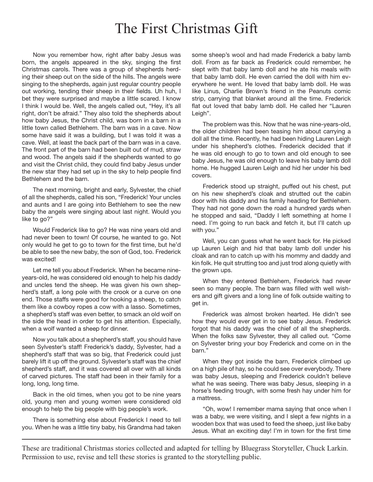#### The First Christmas Gift

Now you remember how, right after baby Jesus was born, the angels appeared in the sky, singing the first Christmas carols. There was a group of shepherds herding their sheep out on the side of the hills. The angels were singing to the shepherds, again just regular country people out working, tending their sheep in their fields. Uh huh, I bet they were surprised and maybe a little scared. I know I think I would be. Well, the angels called out, "Hey, it's all right, don't be afraid." They also told the shepherds about how baby Jesus, the Christ child, was born in a barn in a little town called Bethlehem. The barn was in a cave. Now some have said it was a building, but I was told it was a cave. Well, at least the back part of the barn was in a cave. The front part of the barn had been built out of mud, straw and wood. The angels said if the shepherds wanted to go and visit the Christ child, they could find baby Jesus under the new star they had set up in the sky to help people find Bethlehem and the barn.

The next morning, bright and early, Sylvester, the chief of all the shepherds, called his son, "Frederick! Your uncles and aunts and I are going into Bethlehem to see the new baby the angels were singing about last night. Would you like to go?"

Would Frederick like to go? He was nine years old and had never been to town! Of course, he wanted to go. Not only would he get to go to town for the first time, but he'd be able to see the new baby, the son of God, too. Frederick was excited!

Let me tell you about Frederick. When he became nineyears-old, he was considered old enough to help his daddy and uncles tend the sheep. He was given his own shepherd's staff, a long pole with the crook or a curve on one end. Those staffs were good for hooking a sheep, to catch them like a cowboy ropes a cow with a lasso. Sometimes, a shepherd's staff was even better, to smack an old wolf on the side the head in order to get his attention. Especially, when a wolf wanted a sheep for dinner.

Now you talk about a shepherd's staff, you should have seen Sylvester's staff! Frederick's daddy, Sylvester, had a shepherd's staff that was so big, that Frederick could just barely lift it up off the ground. Sylvester's staff was the chief shepherd's staff, and it was covered all over with all kinds of carved pictures. The staff had been in their family for a long, long, long time.

Back in the old times, when you got to be nine years old, young men and young women were considered old enough to help the big people with big people's work.

There is something else about Frederick I need to tell you. When he was a little tiny baby, his Grandma had taken

some sheep's wool and had made Frederick a baby lamb doll. From as far back as Frederick could remember, he slept with that baby lamb doll and he ate his meals with that baby lamb doll. He even carried the doll with him everywhere he went. He loved that baby lamb doll. He was like Linus, Charlie Brown's friend in the Peanuts comic strip, carrying that blanket around all the time. Frederick flat out loved that baby lamb doll. He called her "Lauren Leigh".

The problem was this. Now that he was nine-years-old, the older children had been teasing him about carrying a doll all the time. Recently, he had been hiding Lauren Leigh under his shepherd's clothes. Frederick decided that if he was old enough to go to town and old enough to see baby Jesus, he was old enough to leave his baby lamb doll home. He hugged Lauren Leigh and hid her under his bed covers.

Frederick stood up straight, puffed out his chest, put on his new shepherd's cloak and strutted out the cabin door with his daddy and his family heading for Bethlehem. They had not gone down the road a hundred yards when he stopped and said, "Daddy I left something at home I need. I'm going to run back and fetch it, but I'll catch up with you."

Well, you can guess what he went back for. He picked up Lauren Leigh and hid that baby lamb doll under his cloak and ran to catch up with his mommy and daddy and kin folk. He quit strutting too and just trod along quietly with the grown ups.

When they entered Bethlehem, Frederick had never seen so many people. The barn was filled with well wishers and gift givers and a long line of folk outside waiting to get in.

Frederick was almost broken hearted. He didn't see how they would ever get in to see baby Jesus. Frederick forgot that his daddy was the chief of all the shepherds. When the folks saw Sylvester, they all called out. "Come on Sylvester bring your boy Frederick and come on in the barn."

When they got inside the barn, Frederick climbed up on a high pile of hay, so he could see over everybody. There was baby Jesus, sleeping and Frederick couldn't believe what he was seeing. There was baby Jesus, sleeping in a horse's feeding trough, with some fresh hay under him for a mattress.

"Oh, wow! I remember mama saying that once when I was a baby, we were visiting, and I slept a few nights in a wooden box that was used to feed the sheep, just like baby Jesus. What an exciting day! I'm in town for the first time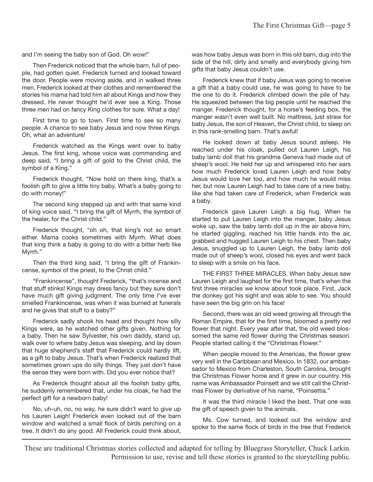and I'm seeing the baby son of God. Oh wow!"

Then Frederick noticed that the whole barn, full of people, had gotten quiet. Frederick turned and looked toward the door. People were moving aside, and in walked three men. Frederick looked at their clothes and remembered the stories his mama had told him all about Kings and how they dressed. He never thought he'd ever see a King. Those three men had on fancy King clothes for sure. What a day!

First time to go to town. First time to see so many people. A chance to see baby Jesus and now three Kings. Oh, what an adventure!

Frederick watched as the Kings went over to baby Jesus. The first king, whose voice was commanding and deep said, "I bring a gift of gold to the Christ child, the symbol of a King."

Frederick thought, "Now hold on there king, that's a foolish gift to give a little tiny baby. What's a baby going to do with money!"

The second king stepped up and with that same kind of king voice said, "I bring the gift of Myrrh, the symbol of the healer, for the Christ child."

Frederick thought, "oh oh, that king's not so smart either. Mama cooks sometimes with Myrrh. What does that king think a baby is going to do with a bitter herb like Myrrh."

Then the third king said, "I bring the gift of Frankincense, symbol of the priest, to the Christ child."

"Frankincense", thought Frederick, "that's incense and that stuff stinks! Kings may dress fancy but they sure don't have much gift giving judgment. The only time I've ever smelled Frankincense, was when it was burned at funerals and he gives that stuff to a baby?"

Frederick sadly shook his head and thought how silly Kings were, as he watched other gifts given. Nothing for a baby. Then he saw Sylvester, his own daddy, stand up, walk over to where baby Jesus was sleeping, and lay down that huge shepherd's staff that Frederick could hardly lift, as a gift to baby Jesus. That's when Frederick realized that sometimes grown ups do silly things. They just don't have the sense they were born with. Did you ever notice that?

As Frederick thought about all the foolish baby gifts, he suddenly remembered that, under his cloak, he had the perfect gift for a newborn baby!

No, uh-uh, no, no way, he sure didn't want to give up his Lauren Leigh! Frederick even looked out of the barn window and watched a small flock of birds perching on a tree. It didn't do any good. All Frederick could think about,

was how baby Jesus was born in this old barn, dug into the side of the hill, dirty and smelly and everybody giving him gifts that baby Jesus couldn't use.

Frederick knew that if baby Jesus was going to receive a gift that a baby could use, he was going to have to be the one to do it. Frederick climbed down the pile of hay. He squeezed between the big people until he reached the manger. Frederick thought, for a horse's feeding box, the manger wasn't even well built. No mattress, just straw for baby Jesus, the son of Heaven, the Christ child, to sleep on in this rank-smelling barn. That's awful!

He looked down at baby Jesus sound asleep. He reached under his cloak, pulled out Lauren Leigh, his baby lamb doll that his grandma Geneva had made out of sheep's wool. He held her up and whispered into her ears how much Frederick loved Lauren Leigh and how baby Jesus would love her too, and how much he would miss her, but now Lauren Leigh had to take care of a new baby, like she had taken care of Frederick, when Frederick was a baby.

Frederick gave Lauren Leigh a big hug. When he started to put Lauren Leigh into the manger, baby Jesus woke up, saw the baby lamb doll up in the air above him, he started giggling, reached his little hands into the air, grabbed and hugged Lauren Leigh to his chest. Then baby Jesus, snuggled up to Lauren Leigh, the baby lamb doll made out of sheep's wool, closed his eyes and went back to sleep with a smile on his face.

THE FIRST THREE MIRACLES. When baby Jesus saw Lauren Leigh and laughed for the first time, that's when the first three miracles we know about took place. First, Jack the donkey got his sight and was able to see. You should have seen the big grin on his face!

Second, there was an old weed growing all through the Roman Empire, that for the first time, bloomed a pretty red flower that night. Every year after that, the old weed blossomed the same red flower during the Christmas season. People started calling it the "Christmas Flower."

When people moved to the Americas, the flower grew very well in the Caribbean and Mexico. In 1832, our ambassador to Mexico from Charleston, South Carolina, brought the Christmas Flower home and it grew in our country. His name was Ambassador Poinsett and we still call the Christmas Flower by derivative of his name, "Poinsettia."

It was the third miracle I liked the best. That one was the gift of speech given to the animals.

Ms. Cow turned, and looked out the window and spoke to the same flock of birds in the tree that Frederick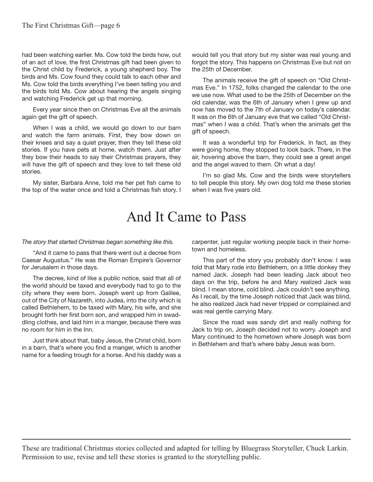had been watching earlier. Ms. Cow told the birds how, out of an act of love, the first Christmas gift had been given to the Christ child by Frederick, a young shepherd boy. The birds and Ms. Cow found they could talk to each other and Ms. Cow told the birds everything I've been telling you and the birds told Ms. Cow about hearing the angels singing and watching Frederick get up that morning.

Every year since then on Christmas Eve all the animals again get the gift of speech.

When I was a child, we would go down to our barn and watch the farm animals. First, they bow down on their knees and say a quiet prayer, then they tell these old stories. If you have pets at home, watch them. Just after they bow their heads to say their Christmas prayers, they will have the gift of speech and they love to tell these old stories.

My sister, Barbara Anne, told me her pet fish came to the top of the water once and told a Christmas fish story. I

would tell you that story but my sister was real young and forgot the story. This happens on Christmas Eve but not on the 25th of December.

The animals receive the gift of speech on "Old Christmas Eve." In 1752, folks changed the calendar to the one we use now. What used to be the 25th of December on the old calendar, was the 6th of January when I grew up and now has moved to the 7th of January on today's calendar. It was on the 6th of January eve that we called "Old Christmas" when I was a child. That's when the animals get the gift of speech.

It was a wonderful trip for Frederick. In fact, as they were going home, they stopped to look back. There, in the air, hovering above the barn, they could see a great angel and the angel waved to them. Oh what a day!

I'm so glad Ms. Cow and the birds were storytellers to tell people this story. My own dog told me these stories when I was five years old.

### And It Came to Pass

*The story that started Christmas began something like this.*

"And it came to pass that there went out a decree from Caesar Augustus." He was the Roman Empire's Governor for Jerusalem in those days.

The decree, kind of like a public notice, said that all of the world should be taxed and everybody had to go to the city where they were born. Joseph went up from Galilee, out of the City of Nazareth, into Judea, into the city which is called Bethlehem, to be taxed with Mary, his wife, and she brought forth her first born son, and wrapped him in swaddling clothes, and laid him in a manger, because there was no room for him in the Inn.

Just think about that, baby Jesus, the Christ child, born in a barn, that's where you find a manger, which is another name for a feeding trough for a horse. And his daddy was a carpenter, just regular working people back in their hometown and homeless.

This part of the story you probably don't know. I was told that Mary rode into Bethlehem, on a little donkey they named Jack. Joseph had been leading Jack about two days on the trip, before he and Mary realized Jack was blind. I mean stone, cold blind. Jack couldn't see anything. As I recall, by the time Joseph noticed that Jack was blind, he also realized Jack had never tripped or complained and was real gentle carrying Mary.

Since the road was sandy dirt and really nothing for Jack to trip on, Joseph decided not to worry. Joseph and Mary continued to the hometown where Joseph was born in Bethlehem and that's where baby Jesus was born.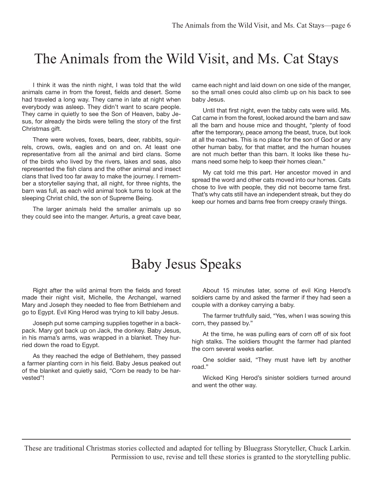### The Animals from the Wild Visit, and Ms. Cat Stays

I think it was the ninth night, I was told that the wild animals came in from the forest, fields and desert. Some had traveled a long way. They came in late at night when everybody was asleep. They didn't want to scare people. They came in quietly to see the Son of Heaven, baby Jesus, for already the birds were telling the story of the first Christmas gift.

There were wolves, foxes, bears, deer, rabbits, squirrels, crows, owls, eagles and on and on. At least one representative from all the animal and bird clans. Some of the birds who lived by the rivers, lakes and seas, also represented the fish clans and the other animal and insect clans that lived too far away to make the journey. I remember a storyteller saying that, all night, for three nights, the barn was full, as each wild animal took turns to look at the sleeping Christ child, the son of Supreme Being.

The larger animals held the smaller animals up so they could see into the manger. Arturis, a great cave bear,

came each night and laid down on one side of the manger, so the small ones could also climb up on his back to see baby Jesus.

Until that first night, even the tabby cats were wild. Ms. Cat came in from the forest, looked around the barn and saw all the barn and house mice and thought, "plenty of food after the temporary, peace among the beast, truce, but look at all the roaches. This is no place for the son of God or any other human baby, for that matter, and the human houses are not much better than this barn. It looks like these humans need some help to keep their homes clean."

My cat told me this part. Her ancestor moved in and spread the word and other cats moved into our homes. Cats chose to live with people, they did not become tame first. That's why cats still have an independent streak, but they do keep our homes and barns free from creepy crawly things.

#### Baby Jesus Speaks

Right after the wild animal from the fields and forest made their night visit, Michelle, the Archangel, warned Mary and Joseph they needed to flee from Bethlehem and go to Egypt. Evil King Herod was trying to kill baby Jesus.

Joseph put some camping supplies together in a backpack. Mary got back up on Jack, the donkey. Baby Jesus, in his mama's arms, was wrapped in a blanket. They hurried down the road to Egypt.

As they reached the edge of Bethlehem, they passed a farmer planting corn in his field. Baby Jesus peaked out of the blanket and quietly said, "Corn be ready to be harvested"!

About 15 minutes later, some of evil King Herod's soldiers came by and asked the farmer if they had seen a couple with a donkey carrying a baby.

The farmer truthfully said, "Yes, when I was sowing this corn, they passed by."

At the time, he was pulling ears of corn off of six foot high stalks. The soldiers thought the farmer had planted the corn several weeks earlier.

One soldier said, "They must have left by another road."

Wicked King Herod's sinister soldiers turned around and went the other way.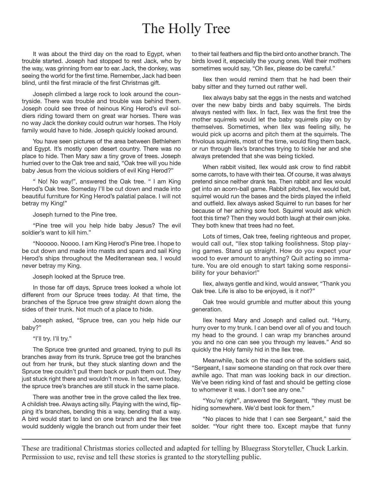## The Holly Tree

It was about the third day on the road to Egypt, when trouble started. Joseph had stopped to rest Jack, who by the way, was grinning from ear to ear. Jack, the donkey, was seeing the world for the first time. Remember, Jack had been blind, until the first miracle of the first Christmas gift.

Joseph climbed a large rock to look around the countryside. There was trouble and trouble was behind them. Joseph could see three of heinous King Herod's evil soldiers riding toward them on great war horses. There was no way Jack the donkey could outrun war horses. The Holy family would have to hide. Joseph quickly looked around.

You have seen pictures of the area between Bethlehem and Egypt. It's mostly open desert country. There was no place to hide. Then Mary saw a tiny grove of trees. Joseph hurried over to the Oak tree and said, "Oak tree will you hide baby Jesus from the vicious soldiers of evil King Herod?"

" No! No way!", answered the Oak tree. " I am King Herod's Oak tree. Someday I'll be cut down and made into beautiful furniture for King Herod's palatial palace. I will not betray my King!"

Joseph turned to the Pine tree.

"Pine tree will you help hide baby Jesus? The evil soldier's want to kill him."

"Nooooo. Noooo. I am King Herod's Pine tree. I hope to be cut down and made into masts and spars and sail King Herod's ships throughout the Mediterranean sea. I would never betray my King.

Joseph looked at the Spruce tree.

In those far off days, Spruce trees looked a whole lot different from our Spruce trees today. At that time, the branches of the Spruce tree grew straight down along the sides of their trunk. Not much of a place to hide.

Joseph asked, "Spruce tree, can you help hide our baby?"

"I'll try. I'll try."

The Spruce tree grunted and groaned, trying to pull its branches away from its trunk. Spruce tree got the branches out from her trunk, but they stuck slanting down and the Spruce tree couldn't pull them back or push them out. They just stuck right there and wouldn't move. In fact, even today, the spruce tree's branches are still stuck in the same place.

There was another tree in the grove called the Ilex tree. A childish tree. Always acting silly. Playing with the wind, flipping it's branches, bending this a way, bending that a way. A bird would start to land on one branch and the Ilex tree would suddenly wiggle the branch out from under their feet to their tail feathers and flip the bird onto another branch. The birds loved it, especially the young ones. Well their mothers sometimes would say, "Oh Ilex, please do be careful."

Ilex then would remind them that he had been their baby sitter and they turned out rather well.

Ilex always baby sat the eggs in the nests and watched over the new baby birds and baby squirrels. The birds always nested with Ilex. In fact, Ilex was the first tree the mother squirrels would let the baby squirrels play on by themselves. Sometimes, when Ilex was feeling silly, he would pick up acorns and pitch them at the squirrels. The frivolous squirrels, most of the time, would fling them back, or run through Ilex's branches trying to tickle her and she always pretended that she was being tickled.

When rabbit visited, Ilex would ask crow to find rabbit some carrots, to have with their tea. Of course, it was always pretend since neither drank tea. Then rabbit and Ilex would get into an acorn-ball game. Rabbit pitched, Ilex would bat, squirrel would run the bases and the birds played the infield and outfield. Ilex always asked Squirrel to run bases for her because of her aching sore foot. Squirrel would ask which foot this time? Then they would both laugh at their own joke. They both knew that trees had no feet.

Lots of times, Oak tree, feeling righteous and proper, would call out, "Ilex stop talking foolishness. Stop playing games. Stand up straight. How do you expect your wood to ever amount to anything? Quit acting so immature. You are old enough to start taking some responsibility for your behavior!"

Ilex, always gentle and kind, would answer, "Thank you Oak tree. Life is also to be enjoyed, is it not?"

Oak tree would grumble and mutter about this young generation.

Ilex heard Mary and Joseph and called out. "Hurry, hurry over to my trunk. I can bend over all of you and touch my head to the ground. I can wrap my branches around you and no one can see you through my leaves." And so quickly the Holy family hid in the Ilex tree.

Meanwhile, back on the road one of the soldiers said, "Sergeant, I saw someone standing on that rock over there awhile ago. That man was looking back in our direction. We've been riding kind of fast and should be getting close to whomever it was. I don't see any one."

"You're right", answered the Sergeant, "they must be hiding somewhere. We'd best look for them."

"No places to hide that I can see Sergeant," said the solder. "Your right there too. Except maybe that funny